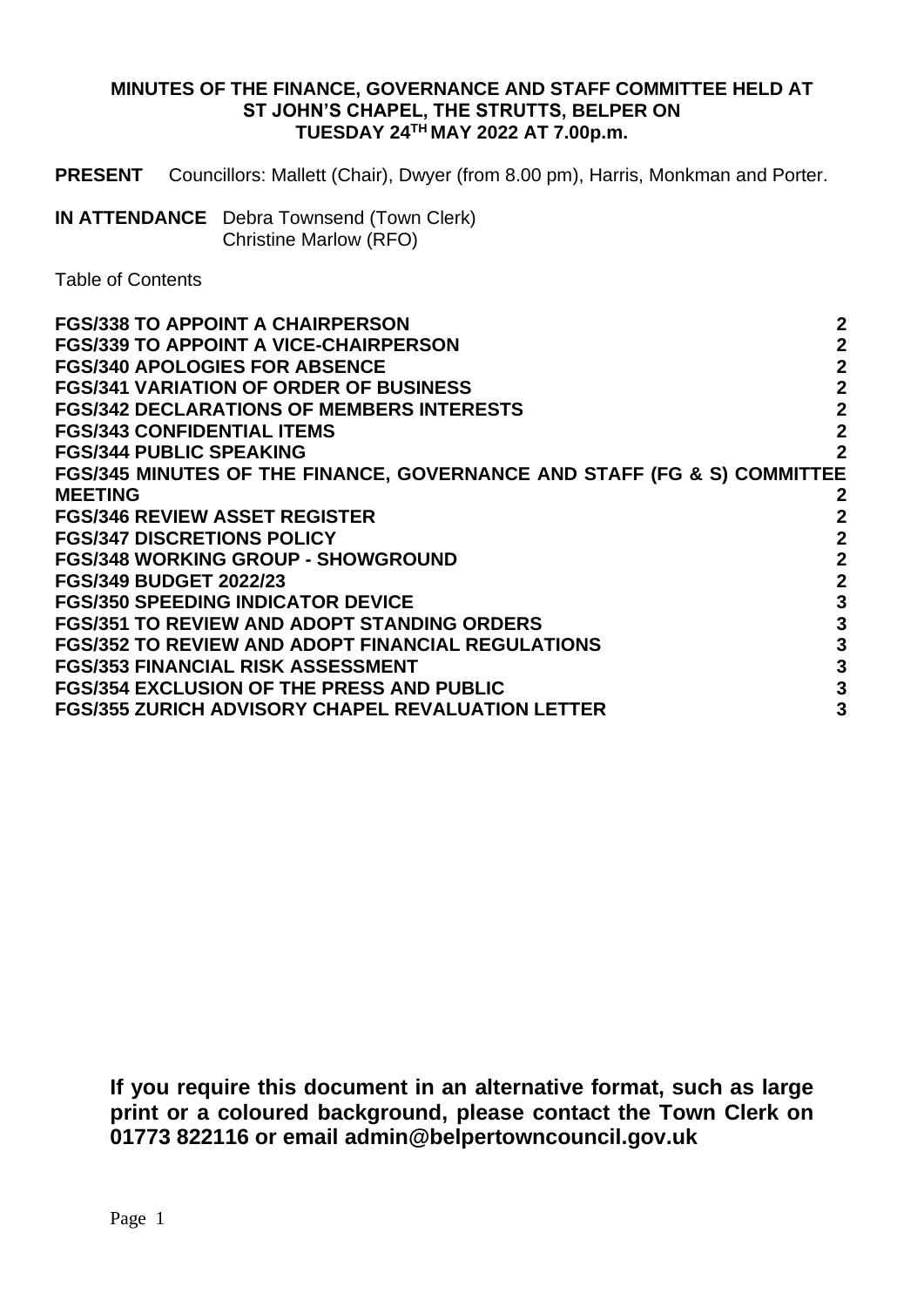### **MINUTES OF THE FINANCE, GOVERNANCE AND STAFF COMMITTEE HELD AT ST JOHN'S CHAPEL, THE STRUTTS, BELPER ON TUESDAY 24TH MAY 2022 AT 7.00p.m.**

**PRESENT** Councillors: Mallett (Chair), Dwyer (from 8.00 pm), Harris, Monkman and Porter.

**IN ATTENDANCE** Debra Townsend (Town Clerk) Christine Marlow (RFO)

Table of Contents

| <b>FGS/338 TO APPOINT A CHAIRPERSON</b>                                 | $\boldsymbol{2}$ |
|-------------------------------------------------------------------------|------------------|
| <b>FGS/339 TO APPOINT A VICE-CHAIRPERSON</b>                            | $\mathbf{2}$     |
| <b>FGS/340 APOLOGIES FOR ABSENCE</b>                                    | $\overline{2}$   |
| <b>FGS/341 VARIATION OF ORDER OF BUSINESS</b>                           | $\mathbf{2}$     |
| <b>FGS/342 DECLARATIONS OF MEMBERS INTERESTS</b>                        | $\mathbf{2}$     |
| <b>FGS/343 CONFIDENTIAL ITEMS</b>                                       | $\mathbf{2}$     |
| <b>FGS/344 PUBLIC SPEAKING</b>                                          | $\overline{2}$   |
| FGS/345 MINUTES OF THE FINANCE, GOVERNANCE AND STAFF (FG & S) COMMITTEE |                  |
| <b>MEETING</b>                                                          | $\mathbf{2}$     |
| <b>FGS/346 REVIEW ASSET REGISTER</b>                                    | $\overline{2}$   |
| <b>FGS/347 DISCRETIONS POLICY</b>                                       | $\boldsymbol{2}$ |
| <b>FGS/348 WORKING GROUP - SHOWGROUND</b>                               | $\mathbf{2}$     |
| <b>FGS/349 BUDGET 2022/23</b>                                           | $\mathbf{2}$     |
| <b>FGS/350 SPEEDING INDICATOR DEVICE</b>                                | $\mathbf{3}$     |
| <b>FGS/351 TO REVIEW AND ADOPT STANDING ORDERS</b>                      | $\mathbf{3}$     |
| <b>FGS/352 TO REVIEW AND ADOPT FINANCIAL REGULATIONS</b>                | $\mathbf{3}$     |
| <b>FGS/353 FINANCIAL RISK ASSESSMENT</b>                                | $\mathbf{3}$     |
| <b>FGS/354 EXCLUSION OF THE PRESS AND PUBLIC</b>                        | $\mathbf{3}$     |
| <b>FGS/355 ZURICH ADVISORY CHAPEL REVALUATION LETTER</b>                | 3                |
|                                                                         |                  |

**If you require this document in an alternative format, such as large print or a coloured background, please contact the Town Clerk on 01773 822116 or email admin@belpertowncouncil.gov.uk**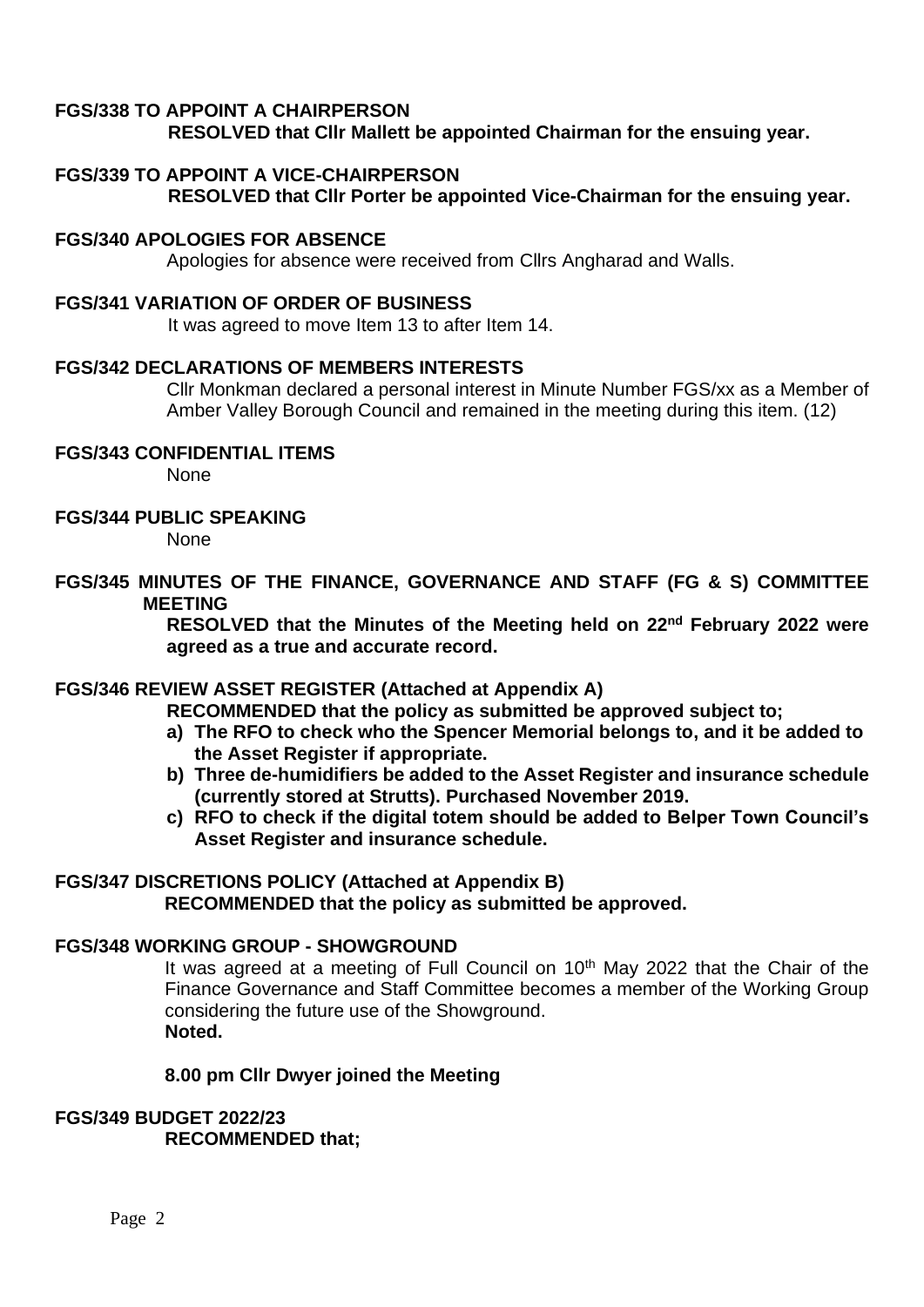# **FGS/338 TO APPOINT A CHAIRPERSON**

**RESOLVED that Cllr Mallett be appointed Chairman for the ensuing year.** 

# **FGS/339 TO APPOINT A VICE-CHAIRPERSON**

**RESOLVED that Cllr Porter be appointed Vice-Chairman for the ensuing year.**

### **FGS/340 APOLOGIES FOR ABSENCE**

Apologies for absence were received from Cllrs Angharad and Walls.

#### **FGS/341 VARIATION OF ORDER OF BUSINESS**

It was agreed to move Item 13 to after Item 14.

#### **FGS/342 DECLARATIONS OF MEMBERS INTERESTS**

Cllr Monkman declared a personal interest in Minute Number FGS/xx as a Member of Amber Valley Borough Council and remained in the meeting during this item. (12)

### **FGS/343 CONFIDENTIAL ITEMS**

None

**FGS/344 PUBLIC SPEAKING**

None

### **FGS/345 MINUTES OF THE FINANCE, GOVERNANCE AND STAFF (FG & S) COMMITTEE MEETING**

**RESOLVED that the Minutes of the Meeting held on 22nd February 2022 were agreed as a true and accurate record.**

## **FGS/346 REVIEW ASSET REGISTER (Attached at Appendix A)**

**RECOMMENDED that the policy as submitted be approved subject to;**

- **a) The RFO to check who the Spencer Memorial belongs to, and it be added to the Asset Register if appropriate.**
- **b) Three de-humidifiers be added to the Asset Register and insurance schedule (currently stored at Strutts). Purchased November 2019.**
- **c) RFO to check if the digital totem should be added to Belper Town Council's Asset Register and insurance schedule.**

# **FGS/347 DISCRETIONS POLICY (Attached at Appendix B)**

**RECOMMENDED that the policy as submitted be approved.** 

#### **FGS/348 WORKING GROUP - SHOWGROUND**

It was agreed at a meeting of Full Council on 10<sup>th</sup> May 2022 that the Chair of the Finance Governance and Staff Committee becomes a member of the Working Group considering the future use of the Showground. **Noted.**

#### **8.00 pm Cllr Dwyer joined the Meeting**

## **FGS/349 BUDGET 2022/23 RECOMMENDED that;**